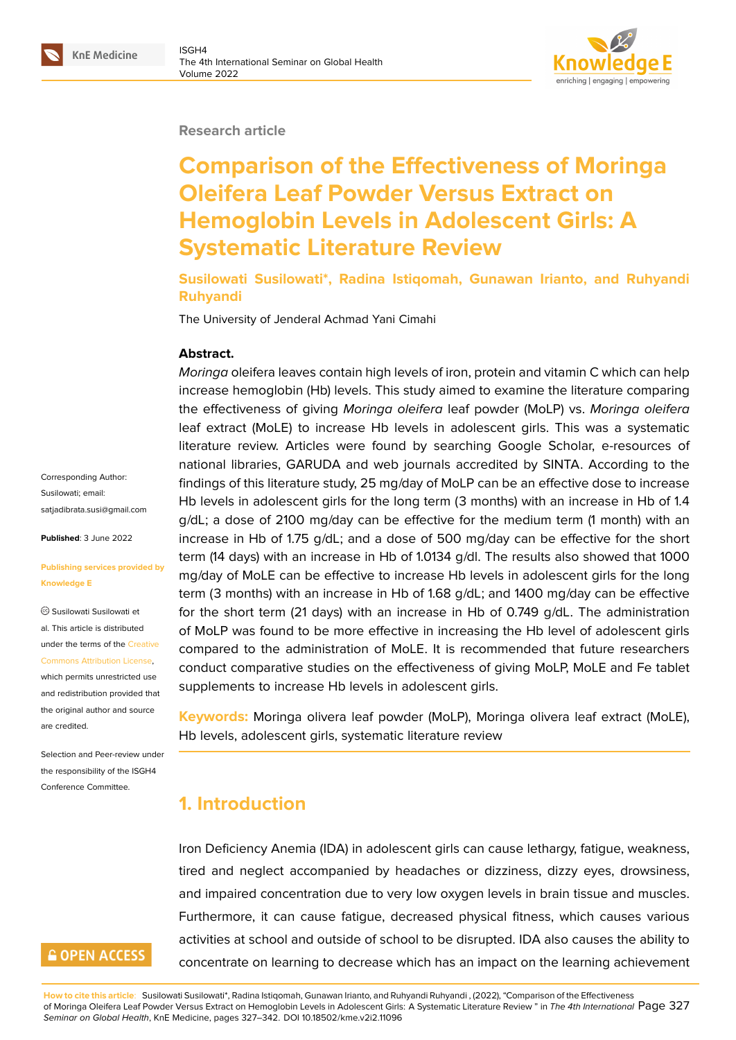#### **Research article**

# **Comparison of the Effectiveness of Moringa Oleifera Leaf Powder Versus Extract on Hemoglobin Levels in Adolescent Girls: A Systematic Literature Review**

**Susilowati Susilowati\*, Radina Istiqomah, Gunawan Irianto, and Ruhyandi Ruhyandi**

The University of Jenderal Achmad Yani Cimahi

#### **Abstract.**

*Moringa* oleifera leaves contain high levels of iron, protein and vitamin C which can help increase hemoglobin (Hb) levels. This study aimed to examine the literature comparing the effectiveness of giving *Moringa oleifera* leaf powder (MoLP) vs. *Moringa oleifera* leaf extract (MoLE) to increase Hb levels in adolescent girls. This was a systematic literature review. Articles were found by searching Google Scholar, e-resources of national libraries, GARUDA and web journals accredited by SINTA. According to the findings of this literature study, 25 mg/day of MoLP can be an effective dose to increase Hb levels in adolescent girls for the long term (3 months) with an increase in Hb of 1.4 g/dL; a dose of 2100 mg/day can be effective for the medium term (1 month) with an increase in Hb of 1.75 g/dL; and a dose of 500 mg/day can be effective for the short term (14 days) with an increase in Hb of 1.0134 g/dl. The results also showed that 1000 mg/day of MoLE can be effective to increase Hb levels in adolescent girls for the long term (3 months) with an increase in Hb of 1.68 g/dL; and 1400 mg/day can be effective for the short term (21 days) with an increase in Hb of 0.749 g/dL. The administration of MoLP was found to be more effective in increasing the Hb level of adolescent girls compared to the administration of MoLE. It is recommended that future researchers conduct comparative studies on the effectiveness of giving MoLP, MoLE and Fe tablet supplements to increase Hb levels in adolescent girls.

**Keywords:** Moringa olivera leaf powder (MoLP), Moringa olivera leaf extract (MoLE), Hb levels, adolescent girls, systematic literature review

# **1. Introduction**

Iron Deficiency Anemia (IDA) in adolescent girls can cause lethargy, fatigue, weakness, tired and neglect accompanied by headaches or dizziness, dizzy eyes, drowsiness, and impaired concentration due to very low oxygen levels in brain tissue and muscles. Furthermore, it can cause fatigue, decreased physical fitness, which causes various activities at school and outside of school to be disrupted. IDA also causes the ability to concentrate on learning to decrease which has an impact on the learning achievement

**How to cite this article**: Susilowati Susilowati\*, Radina Istiqomah, Gunawan Irianto, and Ruhyandi Ruhyandi , (2022), "Comparison of the Effectiveness of Moringa Oleifera Leaf Powder Versus Extract on Hemoglobin Levels in Adolescent Girls: A Systematic Literature Review " in *The 4th International* Page 327 *Seminar on Global Health*, KnE Medicine, pages 327–342. DOI 10.18502/kme.v2i2.11096

Corresponding Author: Susilowati; email: satjadibrata.susi@gmail.com

**Published**: 3 June 2022

#### **[Publishing services provide](mailto:satjadibrata.susi@gmail.com)d by Knowledge E**

Susilowati Susilowati et al. This article is distributed under the terms of the Creative Commons Attribution License,

which permits unrestricted use and redistribution provided that the original author and [source](https://creativecommons.org/licenses/by/4.0/) [are credited.](https://creativecommons.org/licenses/by/4.0/)

Selection and Peer-review under the responsibility of the ISGH4 Conference Committee.

# **GOPEN ACCESS**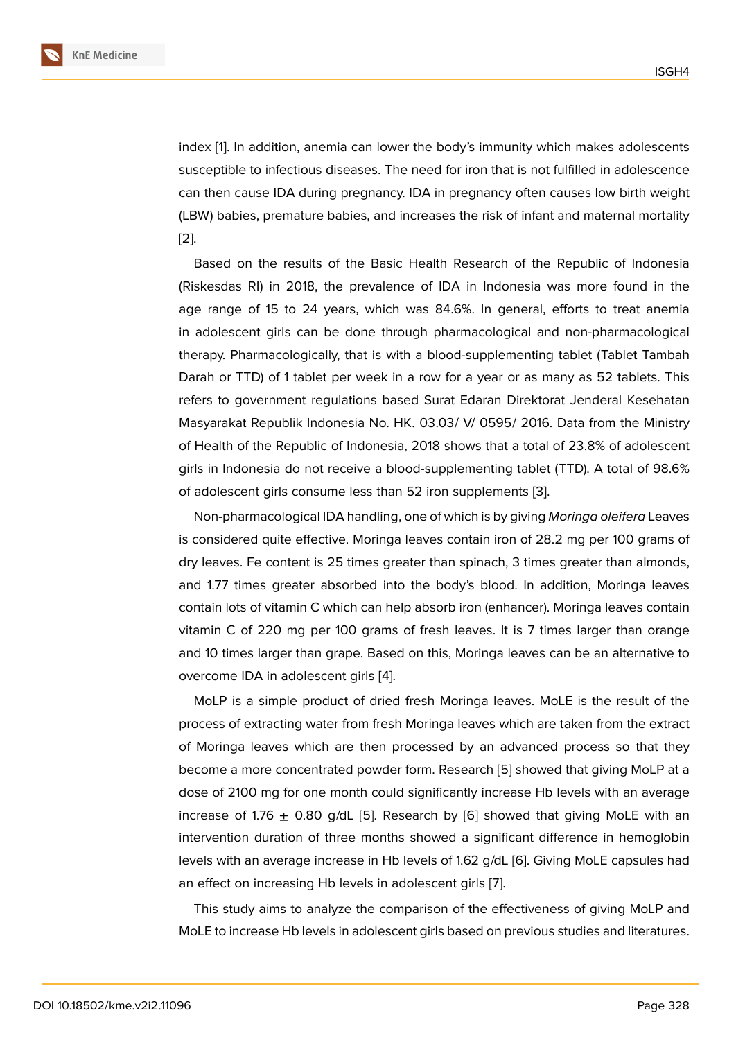index [1]. In addition, anemia can lower the body's immunity which makes adolescents susceptible to infectious diseases. The need for iron that is not fulfilled in adolescence can then cause IDA during pregnancy. IDA in pregnancy often causes low birth weight (LBW) [b](#page-13-0)abies, premature babies, and increases the risk of infant and maternal mortality [2].

Based on the results of the Basic Health Research of the Republic of Indonesia (Riskesdas RI) in 2018, the prevalence of IDA in Indonesia was more found in the [ag](#page-13-1)e range of 15 to 24 years, which was 84.6%. In general, efforts to treat anemia in adolescent girls can be done through pharmacological and non-pharmacological therapy. Pharmacologically, that is with a blood-supplementing tablet (Tablet Tambah Darah or TTD) of 1 tablet per week in a row for a year or as many as 52 tablets. This refers to government regulations based Surat Edaran Direktorat Jenderal Kesehatan Masyarakat Republik Indonesia No. HK. 03.03/ V/ 0595/ 2016. Data from the Ministry of Health of the Republic of Indonesia, 2018 shows that a total of 23.8% of adolescent girls in Indonesia do not receive a blood-supplementing tablet (TTD). A total of 98.6% of adolescent girls consume less than 52 iron supplements [3].

Non-pharmacological IDA handling, one of which is by giving *Moringa oleifera* Leaves is considered quite effective. Moringa leaves contain iron of 28.2 mg per 100 grams of dry leaves. Fe content is 25 times greater than spinach, 3 ti[me](#page-13-2)s greater than almonds, and 1.77 times greater absorbed into the body's blood. In addition, Moringa leaves contain lots of vitamin C which can help absorb iron (enhancer). Moringa leaves contain vitamin C of 220 mg per 100 grams of fresh leaves. It is 7 times larger than orange and 10 times larger than grape. Based on this, Moringa leaves can be an alternative to overcome IDA in adolescent girls [4].

MoLP is a simple product of dried fresh Moringa leaves. MoLE is the result of the process of extracting water from fresh Moringa leaves which are taken from the extract of Moringa leaves which are the[n](#page-13-3) processed by an advanced process so that they become a more concentrated powder form. Research [5] showed that giving MoLP at a dose of 2100 mg for one month could significantly increase Hb levels with an average increase of 1.76  $\pm$  0.80 g/dL [5]. Research by [6] showed that giving MoLE with an intervention duration of three months showed a sign[ific](#page-14-0)ant difference in hemoglobin levels with an average increase in Hb levels of 1.62 g/dL [6]. Giving MoLE capsules had an effect on increasing Hb lev[els](#page-14-0) in adolescent [gir](#page-14-1)ls [7].

This study aims to analyze the comparison of the effectiveness of giving MoLP and MoLE to increase Hb levels in adolescent girls based [on](#page-14-2) p[re](#page-14-1)vious studies and literatures.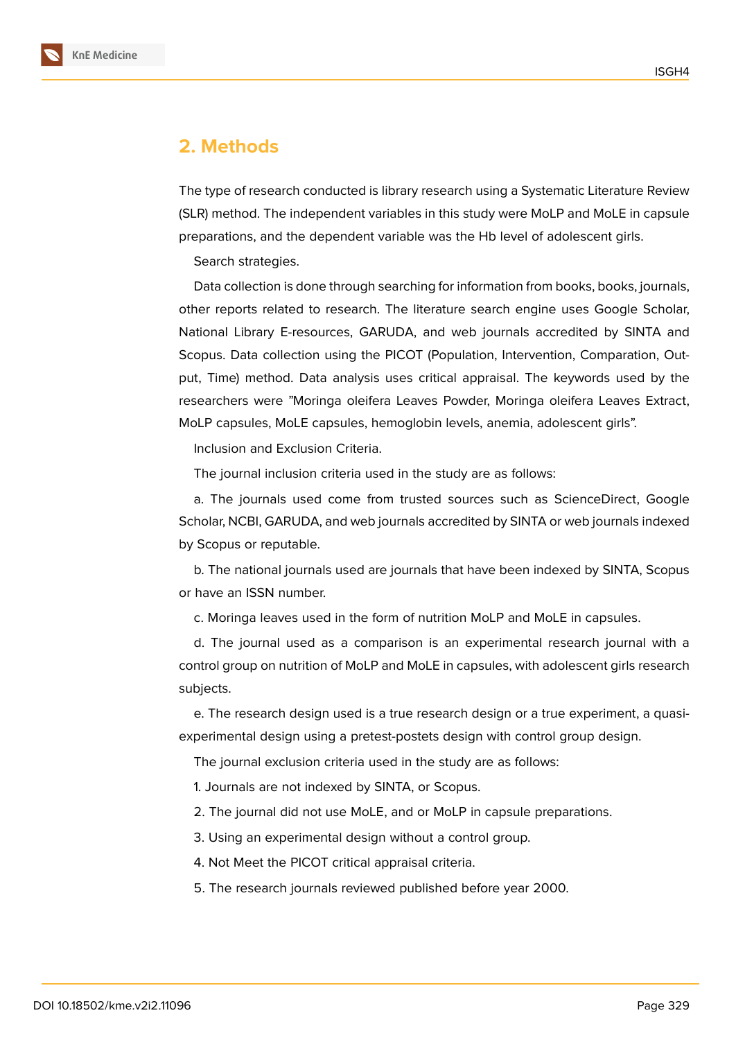

# **2. Methods**

The type of research conducted is library research using a Systematic Literature Review (SLR) method. The independent variables in this study were MoLP and MoLE in capsule preparations, and the dependent variable was the Hb level of adolescent girls.

Search strategies.

Data collection is done through searching for information from books, books, journals, other reports related to research. The literature search engine uses Google Scholar, National Library E-resources, GARUDA, and web journals accredited by SINTA and Scopus. Data collection using the PICOT (Population, Intervention, Comparation, Output, Time) method. Data analysis uses critical appraisal. The keywords used by the researchers were "Moringa oleifera Leaves Powder, Moringa oleifera Leaves Extract, MoLP capsules, MoLE capsules, hemoglobin levels, anemia, adolescent girls".

Inclusion and Exclusion Criteria.

The journal inclusion criteria used in the study are as follows:

a. The journals used come from trusted sources such as ScienceDirect, Google Scholar, NCBI, GARUDA, and web journals accredited by SINTA or web journals indexed by Scopus or reputable.

b. The national journals used are journals that have been indexed by SINTA, Scopus or have an ISSN number.

c. Moringa leaves used in the form of nutrition MoLP and MoLE in capsules.

d. The journal used as a comparison is an experimental research journal with a control group on nutrition of MoLP and MoLE in capsules, with adolescent girls research subjects.

e. The research design used is a true research design or a true experiment, a quasiexperimental design using a pretest-postets design with control group design.

The journal exclusion criteria used in the study are as follows:

1. Journals are not indexed by SINTA, or Scopus.

2. The journal did not use MoLE, and or MoLP in capsule preparations.

3. Using an experimental design without a control group.

4. Not Meet the PICOT critical appraisal criteria.

5. The research journals reviewed published before year 2000.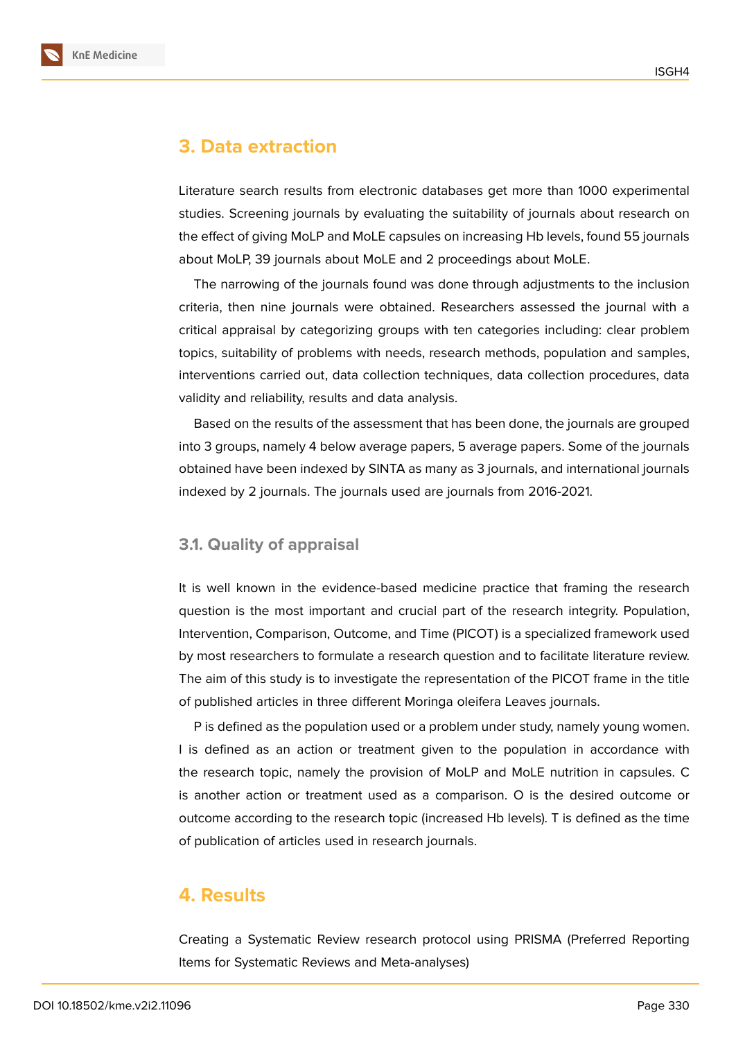

# **3. Data extraction**

Literature search results from electronic databases get more than 1000 experimental studies. Screening journals by evaluating the suitability of journals about research on the effect of giving MoLP and MoLE capsules on increasing Hb levels, found 55 journals about MoLP, 39 journals about MoLE and 2 proceedings about MoLE.

The narrowing of the journals found was done through adjustments to the inclusion criteria, then nine journals were obtained. Researchers assessed the journal with a critical appraisal by categorizing groups with ten categories including: clear problem topics, suitability of problems with needs, research methods, population and samples, interventions carried out, data collection techniques, data collection procedures, data validity and reliability, results and data analysis.

Based on the results of the assessment that has been done, the journals are grouped into 3 groups, namely 4 below average papers, 5 average papers. Some of the journals obtained have been indexed by SINTA as many as 3 journals, and international journals indexed by 2 journals. The journals used are journals from 2016-2021.

#### **3.1. Quality of appraisal**

It is well known in the evidence-based medicine practice that framing the research question is the most important and crucial part of the research integrity. Population, Intervention, Comparison, Outcome, and Time (PICOT) is a specialized framework used by most researchers to formulate a research question and to facilitate literature review. The aim of this study is to investigate the representation of the PICOT frame in the title of published articles in three different Moringa oleifera Leaves journals.

P is defined as the population used or a problem under study, namely young women. I is defined as an action or treatment given to the population in accordance with the research topic, namely the provision of MoLP and MoLE nutrition in capsules. C is another action or treatment used as a comparison. O is the desired outcome or outcome according to the research topic (increased Hb levels). T is defined as the time of publication of articles used in research journals.

### **4. Results**

Creating a Systematic Review research protocol using PRISMA (Preferred Reporting Items for Systematic Reviews and Meta-analyses)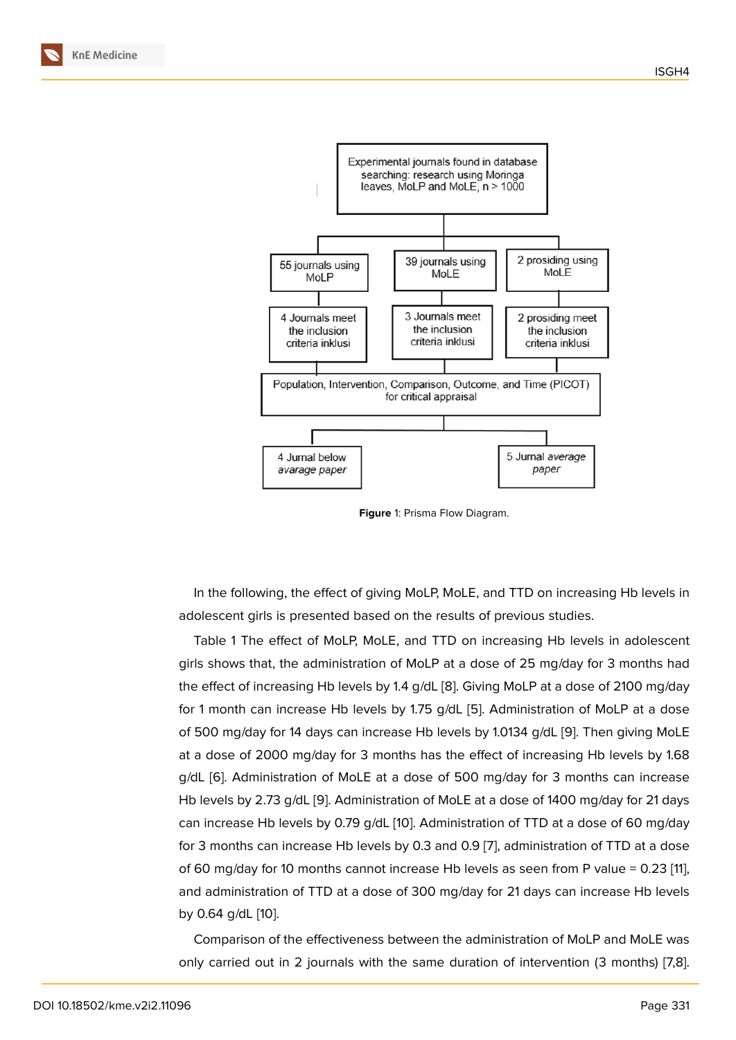

**Figure** 1: Prisma Flow Diagram.

In the following, the effect of giving MoLP, MoLE, and TTD on increasing Hb levels in adolescent girls is presented based on the results of previous studies.

Table 1 The effect of MoLP, MoLE, and TTD on increasing Hb levels in adolescent girls shows that, the administration of MoLP at a dose of 25 mg/day for 3 months had the effect of increasing Hb levels by 1.4 g/dL [8]. Giving MoLP at a dose of 2100 mg/day for 1 month can increase Hb levels by 1.75 g/dL [5]. Administration of MoLP at a dose of 500 mg/day for 14 days can increase Hb levels by 1.0134 g/dL [9]. Then giving MoLE at a dose of 2000 mg/day for 3 months has [th](#page-14-3)e effect of increasing Hb levels by 1.68 g/dL [6]. Administration of MoLE at a dose of 50[0](#page-14-0) mg/day for 3 months can increase Hb levels by 2.73 g/dL [9]. Administration of MoLE at a dose of 14[00](#page-14-4) mg/day for 21 days can increase Hb levels by 0.79 g/dL [10]. Administration of TTD at a dose of 60 mg/day for 3 [mo](#page-14-1)nths can increase Hb levels by 0.3 and 0.9 [7], administration of TTD at a dose of 60 mg/day for 10 m[ont](#page-14-4)hs cannot increase Hb levels as seen from P value = 0.23 [11], and administration of TTD at a dose [of](#page-14-5) 300 mg/day for 21 days can increase Hb levels by 0.64 g/dL [10].

Comparison of the effectiveness between the administration of MoLP and MoLE [wa](#page-14-6)s only carried [out](#page-14-5) in 2 journals with the same duration of intervention (3 months) [7,8].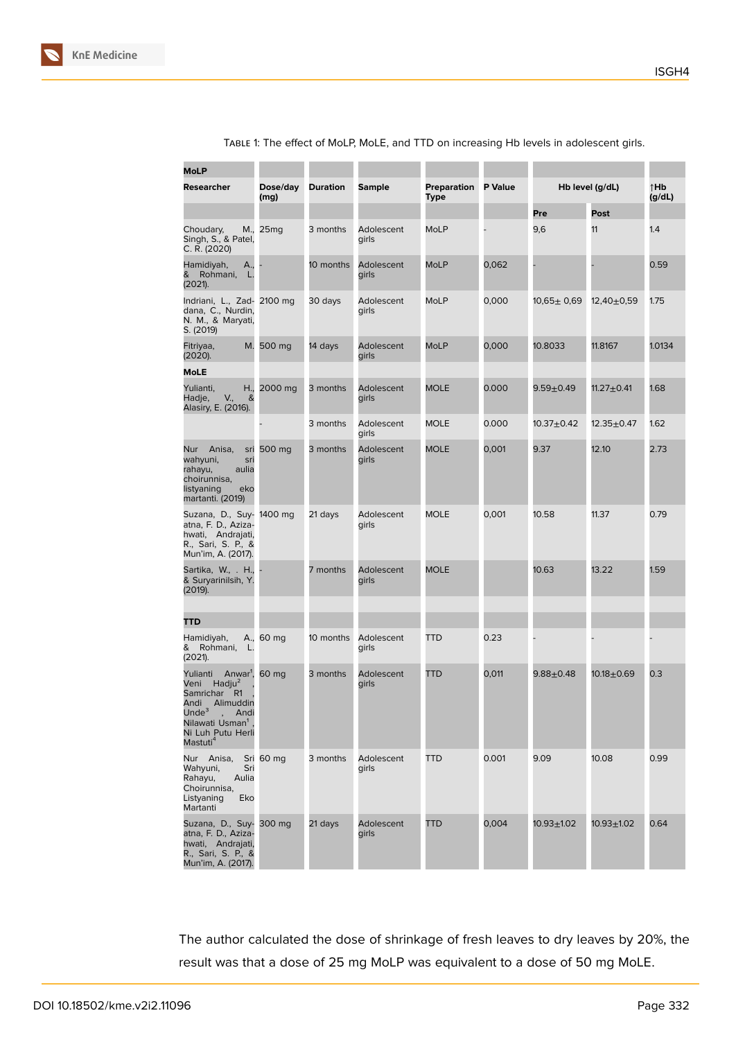| MoLP                                                                                                                                                                                                                         |                  |                 |                     |                     |                |                  |                  |               |
|------------------------------------------------------------------------------------------------------------------------------------------------------------------------------------------------------------------------------|------------------|-----------------|---------------------|---------------------|----------------|------------------|------------------|---------------|
| Researcher                                                                                                                                                                                                                   | Dose/day<br>(mg) | <b>Duration</b> | Sample              | Preparation<br>Type | <b>P</b> Value | Hb level (g/dL)  |                  | ↑Hb<br>(g/dL) |
|                                                                                                                                                                                                                              |                  |                 |                     |                     |                | Pre              | Post             |               |
| Choudary,<br>Singh, S., & Patel,<br>C. R. (2020)                                                                                                                                                                             | M., 25mg         | 3 months        | Adolescent<br>girls | MoLP                |                | 9,6              | 11               | 1.4           |
| Hamidiyah,<br>A.,<br>&<br>Rohmani, L.<br>(2021).                                                                                                                                                                             |                  | 10 months       | Adolescent<br>girls | <b>MoLP</b>         | 0,062          |                  |                  | 0.59          |
| Indriani, L., Zad- 2100 mg<br>dana, C., Nurdin,<br>N. M., & Maryati,<br>S. (2019)                                                                                                                                            |                  | 30 days         | Adolescent<br>girls | MoLP                | 0,000          | $10,65 \pm 0,69$ | $12,40+0.59$     | 1.75          |
| Fitriyaa,<br>M.<br>(2020).                                                                                                                                                                                                   | 500 mg           | 14 days         | Adolescent<br>girls | <b>MoLP</b>         | 0,000          | 10.8033          | 11.8167          | 1.0134        |
| MoLE                                                                                                                                                                                                                         |                  |                 |                     |                     |                |                  |                  |               |
| Yulianti,<br>H.,<br>V.,<br>Hadje,<br>&<br>Alasiry, E. (2016).                                                                                                                                                                | 2000 mg          | 3 months        | Adolescent<br>girls | <b>MOLE</b>         | 0.000          | $9.59 + 0.49$    | 11.27 $\pm$ 0.41 | 1.68          |
|                                                                                                                                                                                                                              |                  | 3 months        | Adolescent<br>girls | <b>MOLE</b>         | 0.000          | $10.37 + 0.42$   | 12.35±0.47       | 1.62          |
| Nur Anisa,<br>wahyuni,<br>sri<br>rahayu,<br>aulia<br>choirunnisa,<br>listyaning<br>eko<br>martanti. (2019)                                                                                                                   | sri 500 mg       | 3 months        | Adolescent<br>girls | <b>MOLE</b>         | 0,001          | 9.37             | 12.10            | 2.73          |
| Suzana, D., Suy- 1400 mg<br>atna, F. D., Aziza-<br>hwati, Andrajati,<br>R., Sari, S. P., &<br>Mun'im, A. (2017).                                                                                                             |                  | 21 days         | Adolescent<br>girls | <b>MOLE</b>         | 0,001          | 10.58            | 11.37            | 0.79          |
| Sartika, W., . H.,<br>& Suryarinilsih, Y.<br>(2019).                                                                                                                                                                         |                  | 7 months        | Adolescent<br>girls | <b>MOLE</b>         |                | 10.63            | 13.22            | 1.59          |
|                                                                                                                                                                                                                              |                  |                 |                     |                     |                |                  |                  |               |
| TTD                                                                                                                                                                                                                          |                  |                 |                     |                     |                |                  |                  |               |
| Hamidiyah,<br>& Rohmani,<br>L.<br>(2021).                                                                                                                                                                                    | A., 60 mg        | 10 months       | Adolescent<br>girls | TTD                 | 0.23           |                  |                  |               |
| Yulianti<br>Anwar <sup>1</sup> , 60 mg<br>Hadju <sup>2</sup><br>Veni<br>Samrichar<br>R <sub>1</sub><br>Alimuddin<br>Andi<br>Unde $3$<br>, Andi<br>Nilawati Usman <sup>1</sup> ,<br>Ni Luh Putu Herli<br>Mastuti <sup>4</sup> |                  | 3 months        | Adolescent<br>girls | TTD                 | 0,011          | $9.88 + 0.48$    | $10.18 + 0.69$   | 0.3           |
| Nur Anisa,<br>Wahyuni,<br>Sri<br>Rahayu,<br>Aulia<br>Choirunnisa,<br>Listyaning<br>Eko<br>Martanti                                                                                                                           | Sri 60 mg        | 3 months        | Adolescent<br>girls | TTD                 | 0.001          | 9.09             | 10.08            | 0.99          |
| Suzana, D., Suy-<br>atna, F. D., Aziza-<br>hwati, Andrajati,<br>R., Sari, S. P., &<br>Mun'im, A. (2017).                                                                                                                     | 300 mg           | 21 days         | Adolescent<br>girls | TTD                 | 0,004          | $10.93 + 1.02$   | $10.93 + 1.02$   | 0.64          |

Table 1: The effect of MoLP, MoLE, and TTD on increasing Hb levels in adolescent girls.

The author calculated the dose of shrinkage of fresh leaves to dry leaves by 20%, the result was that a dose of 25 mg MoLP was equivalent to a dose of 50 mg MoLE.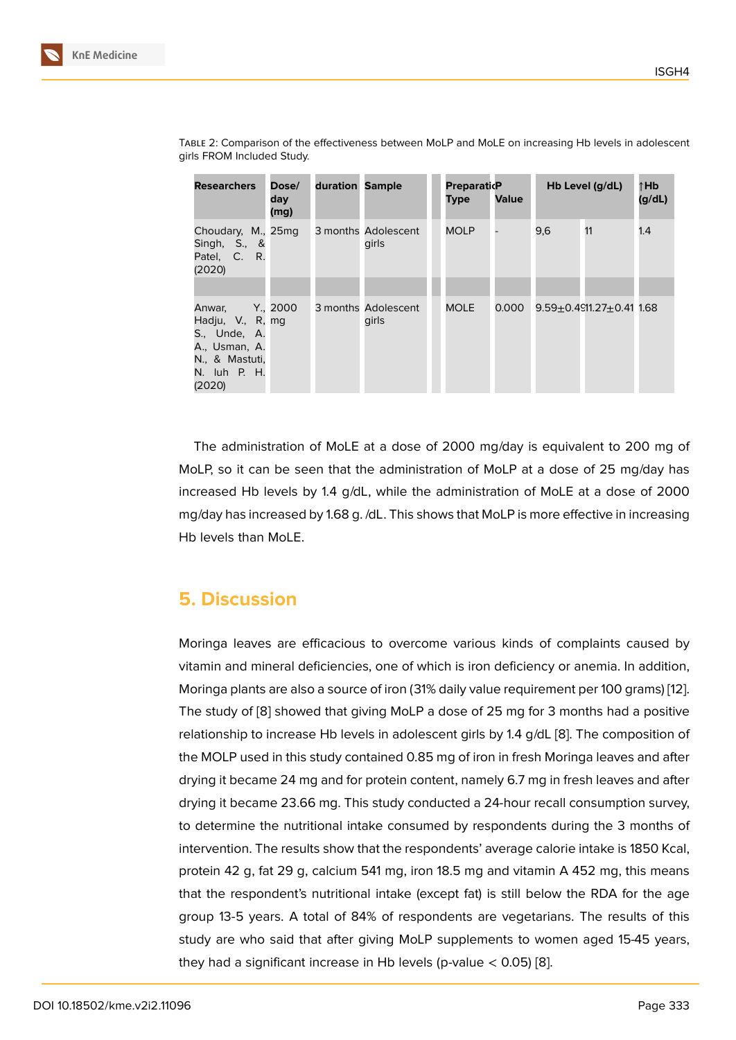| <b>Researchers</b>                                                                                      | Dose/<br>day<br>(mg) | duration Sample |                              | <b>PreparaticP</b><br><b>Type</b> | <b>Value</b> |     | Hb Level $(g/dL)$              | ↑Hb<br>(g/dL) |
|---------------------------------------------------------------------------------------------------------|----------------------|-----------------|------------------------------|-----------------------------------|--------------|-----|--------------------------------|---------------|
| Choudary, M., 25mq<br>Singh, $S_{n}$ , &<br>Patel, C. R.<br>(2020)                                      |                      |                 | 3 months Adolescent<br>girls | <b>MOLP</b>                       |              | 9,6 | 11                             | 1.4           |
| Anwar,<br>Hadju, V., R, mg<br>S., Unde, A.<br>A., Usman, A.<br>N., & Mastuti,<br>N. luh P. H.<br>(2020) | $Y_{\cdot}$ , 2000   |                 | 3 months Adolescent<br>girls | <b>MOLE</b>                       | 0.000        |     | $9.59 + 0.4911.27 + 0.41$ 1.68 |               |

Table 2: Comparison of the effectiveness between MoLP and MoLE on increasing Hb levels in adolescent girls FROM Included Study.

The administration of MoLE at a dose of 2000 mg/day is equivalent to 200 mg of MoLP, so it can be seen that the administration of MoLP at a dose of 25 mg/day has increased Hb levels by 1.4 g/dL, while the administration of MoLE at a dose of 2000 mg/day has increased by 1.68 g. /dL. This shows that MoLP is more effective in increasing Hb levels than MoLE.

### **5. Discussion**

Moringa leaves are efficacious to overcome various kinds of complaints caused by vitamin and mineral deficiencies, one of which is iron deficiency or anemia. In addition, Moringa plants are also a source of iron (31% daily value requirement per 100 grams) [12]. The study of [8] showed that giving MoLP a dose of 25 mg for 3 months had a positive relationship to increase Hb levels in adolescent girls by 1.4 g/dL [8]. The composition of the MOLP used in this study contained 0.85 mg of iron in fresh Moringa leaves and a[fte](#page-14-7)r drying it beca[m](#page-14-3)e 24 mg and for protein content, namely 6.7 mg in fresh leaves and after drying it became 23.66 mg. This study conducted a 24-hour rec[all](#page-14-3) consumption survey, to determine the nutritional intake consumed by respondents during the 3 months of intervention. The results show that the respondents' average calorie intake is 1850 Kcal, protein 42 g, fat 29 g, calcium 541 mg, iron 18.5 mg and vitamin A 452 mg, this means that the respondent's nutritional intake (except fat) is still below the RDA for the age group 13-5 years. A total of 84% of respondents are vegetarians. The results of this study are who said that after giving MoLP supplements to women aged 15-45 years, they had a significant increase in Hb levels (p-value  $< 0.05$ ) [8].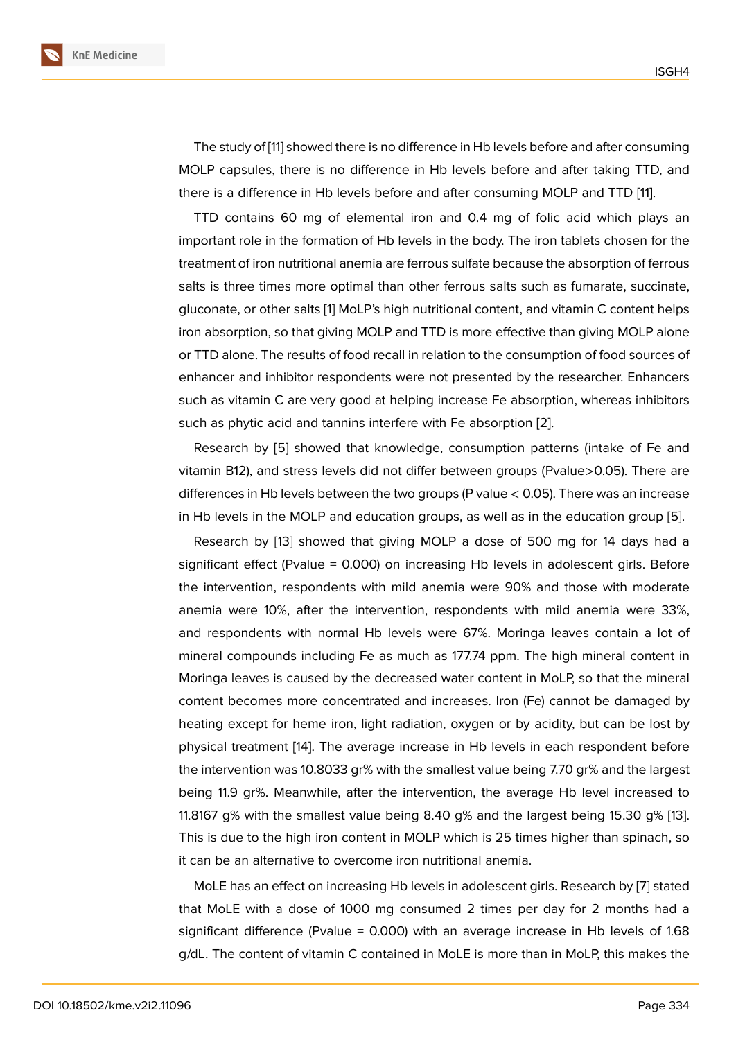The study of [11] showed there is no difference in Hb levels before and after consuming MOLP capsules, there is no difference in Hb levels before and after taking TTD, and there is a difference in Hb levels before and after consuming MOLP and TTD [11].

TTD contain[s](#page-14-6) 60 mg of elemental iron and 0.4 mg of folic acid which plays an important role in the formation of Hb levels in the body. The iron tablets chosen for the treatment of iron nutritional anemia are ferrous sulfate because the absorption [of f](#page-14-6)errous salts is three times more optimal than other ferrous salts such as fumarate, succinate, gluconate, or other salts [1] MoLP's high nutritional content, and vitamin C content helps iron absorption, so that giving MOLP and TTD is more effective than giving MOLP alone or TTD alone. The results of food recall in relation to the consumption of food sources of enhancer and inhibitor r[es](#page-13-0)pondents were not presented by the researcher. Enhancers such as vitamin C are very good at helping increase Fe absorption, whereas inhibitors such as phytic acid and tannins interfere with Fe absorption [2].

Research by [5] showed that knowledge, consumption patterns (intake of Fe and vitamin B12), and stress levels did not differ between groups (Pvalue>0.05). There are differences in Hb levels between the two groups (P value < 0.[05](#page-13-1)). There was an increase in Hb levels in t[he](#page-14-0) MOLP and education groups, as well as in the education group [5].

Research by [13] showed that giving MOLP a dose of 500 mg for 14 days had a significant effect (Pvalue = 0.000) on increasing Hb levels in adolescent girls. Before the intervention, respondents with mild anemia were 90% and those with mode[ra](#page-14-0)te anemia were 10[%,](#page-14-8) after the intervention, respondents with mild anemia were 33%, and respondents with normal Hb levels were 67%. Moringa leaves contain a lot of mineral compounds including Fe as much as 177.74 ppm. The high mineral content in Moringa leaves is caused by the decreased water content in MoLP, so that the mineral content becomes more concentrated and increases. Iron (Fe) cannot be damaged by heating except for heme iron, light radiation, oxygen or by acidity, but can be lost by physical treatment [14]. The average increase in Hb levels in each respondent before the intervention was 10.8033 gr% with the smallest value being 7.70 gr% and the largest being 11.9 gr%. Meanwhile, after the intervention, the average Hb level increased to 11.8167 g% with the [sm](#page-14-9)allest value being 8.40 g% and the largest being 15.30 g% [13]. This is due to the high iron content in MOLP which is 25 times higher than spinach, so it can be an alternative to overcome iron nutritional anemia.

MoLE has an effect on increasing Hb levels in adolescent girls. Research by [7] sta[ted](#page-14-8) that MoLE with a dose of 1000 mg consumed 2 times per day for 2 months had a significant difference (Pvalue = 0.000) with an average increase in Hb levels of 1.68 g/dL. The content of vitamin C contained in MoLE is more than in MoLP, this m[ak](#page-14-2)es the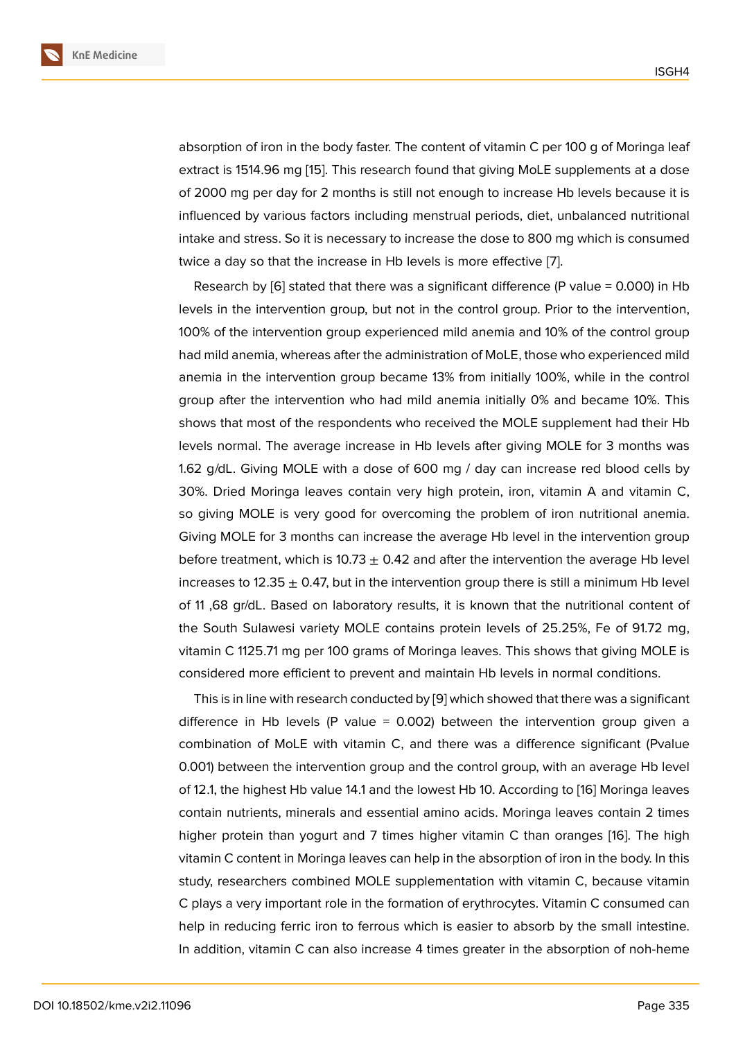absorption of iron in the body faster. The content of vitamin C per 100 g of Moringa leaf extract is 1514.96 mg [15]. This research found that giving MoLE supplements at a dose of 2000 mg per day for 2 months is still not enough to increase Hb levels because it is influenced by various factors including menstrual periods, diet, unbalanced nutritional intake and stress. So i[t is](#page-14-10) necessary to increase the dose to 800 mg which is consumed twice a day so that the increase in Hb levels is more effective [7].

Research by  $[6]$  stated that there was a significant difference (P value = 0.000) in Hb levels in the intervention group, but not in the control group. Prior to the intervention, 100% of the intervention group experienced mild anemia and [10](#page-14-2)% of the control group had mild anemi[a, w](#page-14-1)hereas after the administration of MoLE, those who experienced mild anemia in the intervention group became 13% from initially 100%, while in the control group after the intervention who had mild anemia initially 0% and became 10%. This shows that most of the respondents who received the MOLE supplement had their Hb levels normal. The average increase in Hb levels after giving MOLE for 3 months was 1.62 g/dL. Giving MOLE with a dose of 600 mg / day can increase red blood cells by 30%. Dried Moringa leaves contain very high protein, iron, vitamin A and vitamin C, so giving MOLE is very good for overcoming the problem of iron nutritional anemia. Giving MOLE for 3 months can increase the average Hb level in the intervention group before treatment, which is 10.73  $\pm$  0.42 and after the intervention the average Hb level increases to 12.35  $\pm$  0.47, but in the intervention group there is still a minimum Hb level of 11 ,68 gr/dL. Based on laboratory results, it is known that the nutritional content of the South Sulawesi variety MOLE contains protein levels of 25.25%, Fe of 91.72 mg, vitamin C 1125.71 mg per 100 grams of Moringa leaves. This shows that giving MOLE is considered more efficient to prevent and maintain Hb levels in normal conditions.

This is in line with research conducted by [9] which showed that there was a significant difference in Hb levels (P value  $= 0.002$ ) between the intervention group given a combination of MoLE with vitamin C, and there was a difference significant (Pvalue 0.001) between the intervention group and [th](#page-14-4)e control group, with an average Hb level of 12.1, the highest Hb value 14.1 and the lowest Hb 10. According to [16] Moringa leaves contain nutrients, minerals and essential amino acids. Moringa leaves contain 2 times higher protein than yogurt and 7 times higher vitamin C than oranges [16]. The high vitamin C content in Moringa leaves can help in the absorption of iro[n in](#page-15-0) the body. In this study, researchers combined MOLE supplementation with vitamin C, because vitamin C plays a very important role in the formation of erythrocytes. Vitamin C c[on](#page-15-0)sumed can help in reducing ferric iron to ferrous which is easier to absorb by the small intestine. In addition, vitamin C can also increase 4 times greater in the absorption of noh-heme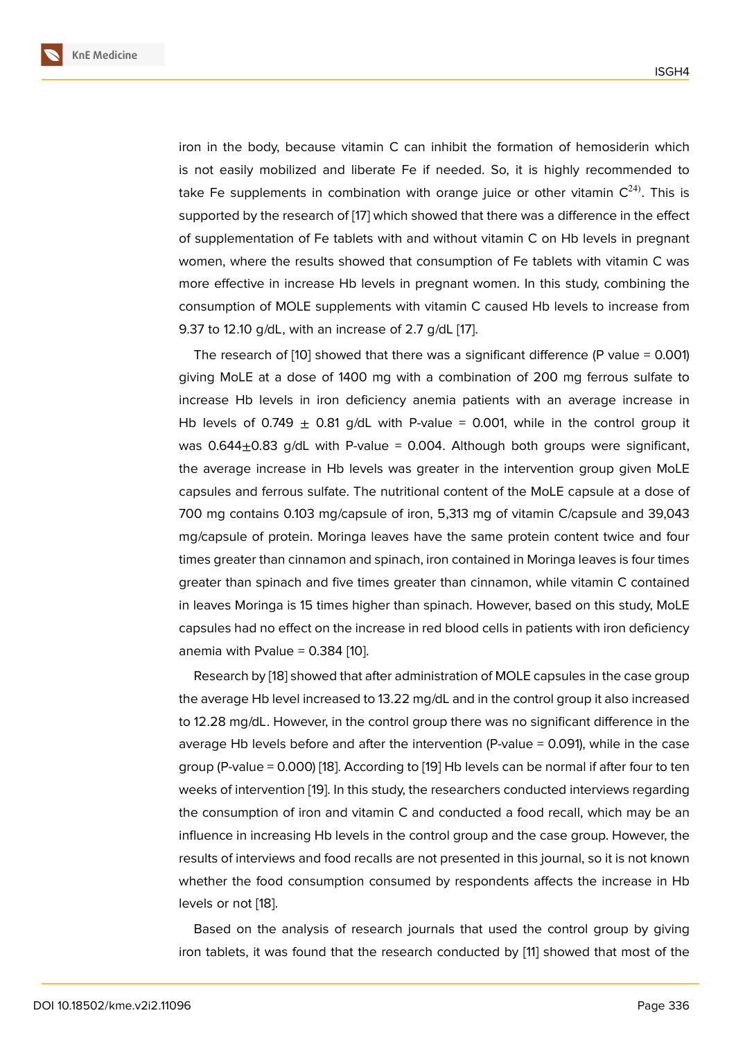iron in the body, because vitamin C can inhibit the formation of hemosiderin which is not easily mobilized and liberate Fe if needed. So, it is highly recommended to take Fe supplements in combination with orange juice or other vitamin  $C^{24}$ . This is supported by the research of [17] which showed that there was a difference in the effect of supplementation of Fe tablets with and without vitamin C on Hb levels in pregnant women, where the results showed that consumption of Fe tablets with vitamin C was more effective in increase H[b le](#page-15-1)vels in pregnant women. In this study, combining the consumption of MOLE supplements with vitamin C caused Hb levels to increase from 9.37 to 12.10 g/dL, with an increase of 2.7 g/dL [17].

The research of  $[10]$  showed that there was a significant difference (P value = 0.001) giving MoLE at a dose of 1400 mg with a combination of 200 mg ferrous sulfate to increase Hb levels in iron deficiency anemia [pa](#page-15-1)tients with an average increase in Hb levels of 0.749  $\pm$  0.81 g/dL with P-value = 0.001, while in the control group it was  $0.644\pm0.83$  g/dL with P-value = 0.004. Although both groups were significant, the average increase in Hb levels was greater in the intervention group given MoLE capsules and ferrous sulfate. The nutritional content of the MoLE capsule at a dose of 700 mg contains 0.103 mg/capsule of iron, 5,313 mg of vitamin C/capsule and 39,043 mg/capsule of protein. Moringa leaves have the same protein content twice and four times greater than cinnamon and spinach, iron contained in Moringa leaves is four times greater than spinach and five times greater than cinnamon, while vitamin C contained in leaves Moringa is 15 times higher than spinach. However, based on this study, MoLE capsules had no effect on the increase in red blood cells in patients with iron deficiency anemia with Pvalue =  $0.384$  [10].

Research by [18] showed that after administration of MOLE capsules in the case group the average Hb level increased to 13.22 mg/dL and in the control group it also increased to 12.28 mg/dL. However, in [the](#page-14-5) control group there was no significant difference in the average Hb lev[els](#page-15-2) before and after the intervention (P-value = 0.091), while in the case group (P-value = 0.000) [18]. According to [19] Hb levels can be normal if after four to ten weeks of intervention [19]. In this study, the researchers conducted interviews regarding the consumption of iron and vitamin C and conducted a food recall, which may be an influence in increasing [Hb](#page-15-2) levels in the co[ntr](#page-15-3)ol group and the case group. However, the results of interviews a[nd](#page-15-3) food recalls are not presented in this journal, so it is not known whether the food consumption consumed by respondents affects the increase in Hb levels or not [18].

Based on the analysis of research journals that used the control group by giving iron tablets, it was found that the research conducted by [11] showed that most of the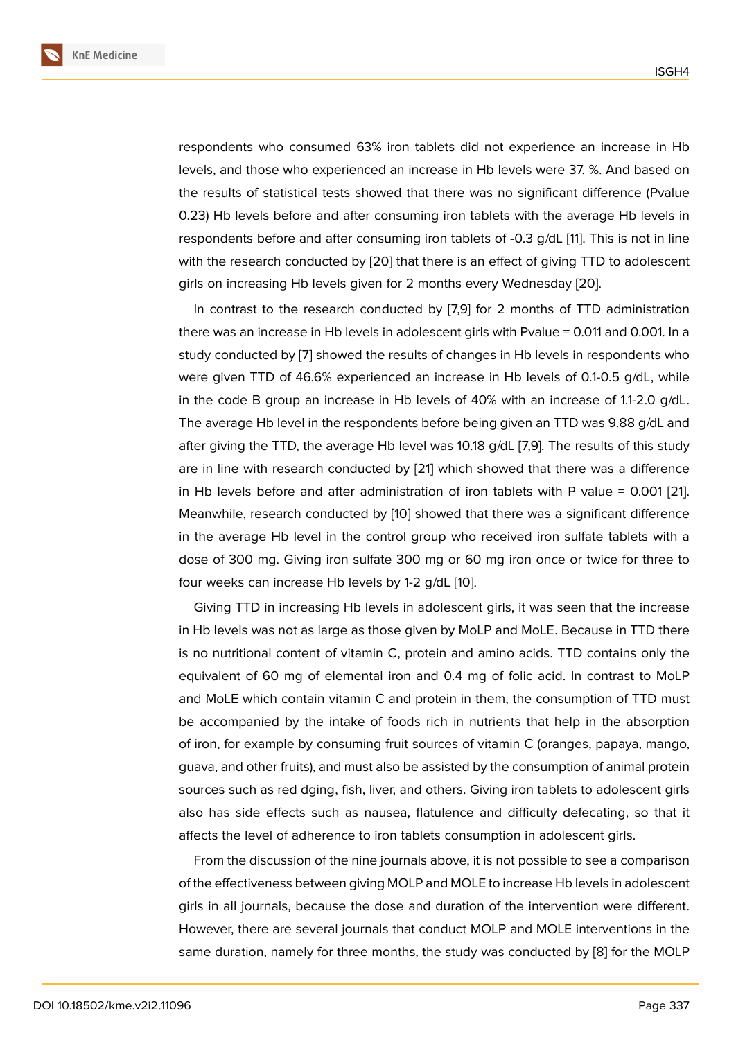respondents who consumed 63% iron tablets did not experience an increase in Hb levels, and those who experienced an increase in Hb levels were 37. %. And based on the results of statistical tests showed that there was no significant difference (Pvalue 0.23) Hb levels before and after consuming iron tablets with the average Hb levels in respondents before and after consuming iron tablets of -0.3 g/dL [11]. This is not in line with the research conducted by [20] that there is an effect of giving TTD to adolescent girls on increasing Hb levels given for 2 months every Wednesday [20].

In contrast to the research conducted by [7,9] for 2 months o[f T](#page-14-6)TD administration there was an increase in Hb level[s in](#page-15-4) adolescent girls with Pvalue = 0.011 and 0.001. In a study conducted by [7] showed the results of changes in Hb levels i[n re](#page-15-4)spondents who were given TTD of 46.6% experienced an increase in Hb levels of 0.1-0.5 g/dL, while in the code B group an increase in Hb levels of 40% with an increase of 1.1-2.0 g/dL. The average Hb leve[l i](#page-14-2)n the respondents before being given an TTD was 9.88 g/dL and after giving the TTD, the average Hb level was 10.18 g/dL [7,9]. The results of this study are in line with research conducted by [21] which showed that there was a difference in Hb levels before and after administration of iron tablets with P value  $= 0.001$  [21]. Meanwhile, research conducted by [10] showed that there was a significant difference in the average Hb level in the control [gro](#page-15-5)up who received iron sulfate tablets with a dose of 300 mg. Giving iron sulfate 300 mg or 60 mg iron once or twice for thre[e to](#page-15-5) four weeks can increase Hb levels [by 1](#page-14-5)-2 g/dL [10].

Giving TTD in increasing Hb levels in adolescent girls, it was seen that the increase in Hb levels was not as large as those given by MoLP and MoLE. Because in TTD there is no nutritional content of vitamin C, protein [and](#page-14-5) amino acids. TTD contains only the equivalent of 60 mg of elemental iron and 0.4 mg of folic acid. In contrast to MoLP and MoLE which contain vitamin C and protein in them, the consumption of TTD must be accompanied by the intake of foods rich in nutrients that help in the absorption of iron, for example by consuming fruit sources of vitamin C (oranges, papaya, mango, guava, and other fruits), and must also be assisted by the consumption of animal protein sources such as red dging, fish, liver, and others. Giving iron tablets to adolescent girls also has side effects such as nausea, flatulence and difficulty defecating, so that it affects the level of adherence to iron tablets consumption in adolescent girls.

From the discussion of the nine journals above, it is not possible to see a comparison of the effectiveness between giving MOLP and MOLE to increase Hb levels in adolescent girls in all journals, because the dose and duration of the intervention were different. However, there are several journals that conduct MOLP and MOLE interventions in the same duration, namely for three months, the study was conducted by [8] for the MOLP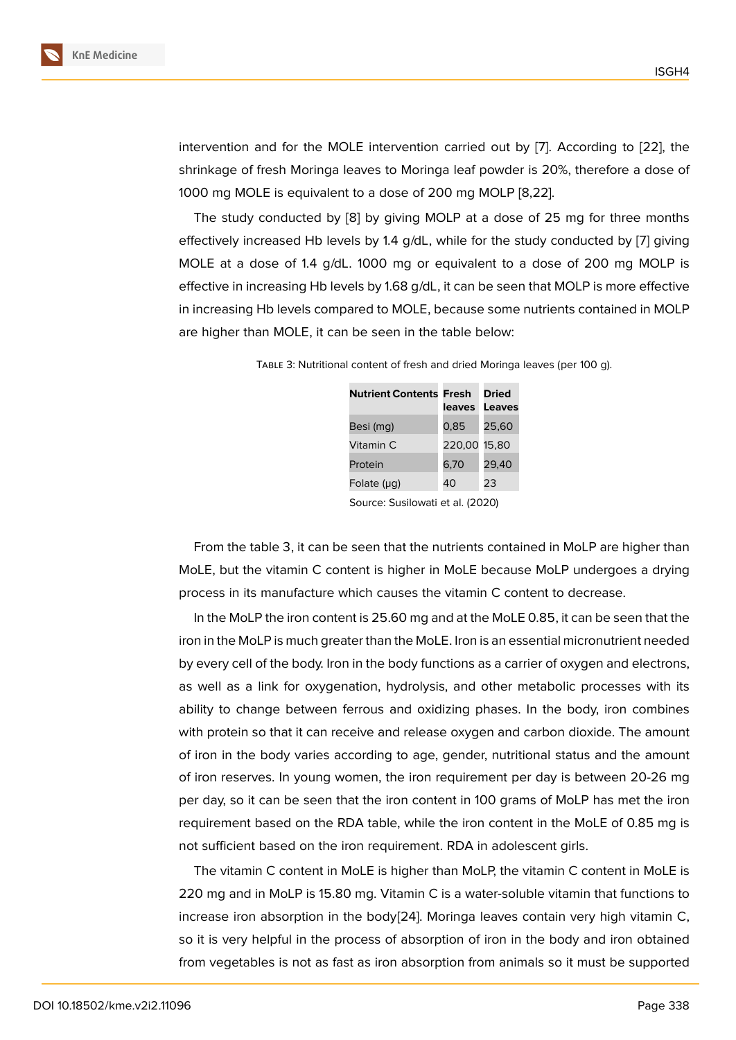intervention and for the MOLE intervention carried out by [7]. According to [22], the shrinkage of fresh Moringa leaves to Moringa leaf powder is 20%, therefore a dose of 1000 mg MOLE is equivalent to a dose of 200 mg MOLP [8,22].

The study conducted by [8] by giving MOLP at a dose o[f 2](#page-14-2)5 mg for three [mo](#page-15-6)nths effectively increased Hb levels by 1.4 g/dL, while for the study conducted by [7] giving MOLE at a dose of 1.4 g/dL. 1000 mg or equivalent to a dose of 200 mg MOLP is effective in increasing Hb lev[el](#page-14-3)s by 1.68 g/dL, it can be seen that MOLP is more effective in increasing Hb levels compared to MOLE, because some nutrients contained [in](#page-14-2) MOLP are higher than MOLE, it can be seen in the table below:

| <b>Nutrient Contents Fresh</b> | leaves       | Dried<br>Leaves |
|--------------------------------|--------------|-----------------|
| Besi (mg)                      | 0,85         | 25.60           |
| Vitamin C.                     | 220,00 15,80 |                 |
| Protein                        | 6,70         | 29,40           |
| Folate $(\mu q)$               | 40           | 23              |

Table 3: Nutritional content of fresh and dried Moringa leaves (per 100 g).

Source: Susilowati et al. (2020)

From the table 3, it can be seen that the nutrients contained in MoLP are higher than MoLE, but the vitamin C content is higher in MoLE because MoLP undergoes a drying process in its manufacture which causes the vitamin C content to decrease.

In the MoLP the iron content is 25.60 mg and at the MoLE 0.85, it can be seen that the iron in the MoLP is much greater than the MoLE. Iron is an essential micronutrient needed by every cell of the body. Iron in the body functions as a carrier of oxygen and electrons, as well as a link for oxygenation, hydrolysis, and other metabolic processes with its ability to change between ferrous and oxidizing phases. In the body, iron combines with protein so that it can receive and release oxygen and carbon dioxide. The amount of iron in the body varies according to age, gender, nutritional status and the amount of iron reserves. In young women, the iron requirement per day is between 20-26 mg per day, so it can be seen that the iron content in 100 grams of MoLP has met the iron requirement based on the RDA table, while the iron content in the MoLE of 0.85 mg is not sufficient based on the iron requirement. RDA in adolescent girls.

The vitamin C content in MoLE is higher than MoLP, the vitamin C content in MoLE is 220 mg and in MoLP is 15.80 mg. Vitamin C is a water-soluble vitamin that functions to increase iron absorption in the body[24]. Moringa leaves contain very high vitamin C, so it is very helpful in the process of absorption of iron in the body and iron obtained from vegetables is not as fast as iron absorption from animals so it must be supported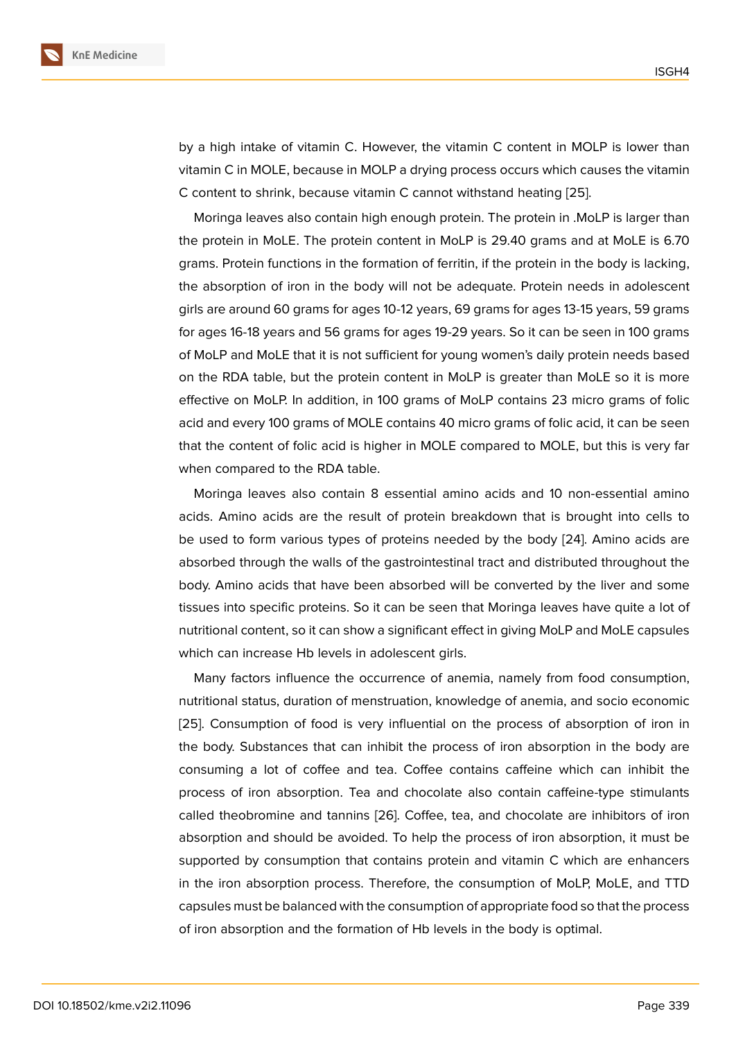by a high intake of vitamin C. However, the vitamin C content in MOLP is lower than vitamin C in MOLE, because in MOLP a drying process occurs which causes the vitamin C content to shrink, because vitamin C cannot withstand heating [25].

Moringa leaves also contain high enough protein. The protein in .MoLP is larger than the protein in MoLE. The protein content in MoLP is 29.40 grams and at MoLE is 6.70 grams. Protein functions in the formation of ferritin, if the protein i[n th](#page-15-7)e body is lacking, the absorption of iron in the body will not be adequate. Protein needs in adolescent girls are around 60 grams for ages 10-12 years, 69 grams for ages 13-15 years, 59 grams for ages 16-18 years and 56 grams for ages 19-29 years. So it can be seen in 100 grams of MoLP and MoLE that it is not sufficient for young women's daily protein needs based on the RDA table, but the protein content in MoLP is greater than MoLE so it is more effective on MoLP. In addition, in 100 grams of MoLP contains 23 micro grams of folic acid and every 100 grams of MOLE contains 40 micro grams of folic acid, it can be seen that the content of folic acid is higher in MOLE compared to MOLE, but this is very far when compared to the RDA table.

Moringa leaves also contain 8 essential amino acids and 10 non-essential amino acids. Amino acids are the result of protein breakdown that is brought into cells to be used to form various types of proteins needed by the body [24]. Amino acids are absorbed through the walls of the gastrointestinal tract and distributed throughout the body. Amino acids that have been absorbed will be converted by the liver and some tissues into specific proteins. So it can be seen that Moringa leav[es](#page-15-8) have quite a lot of nutritional content, so it can show a significant effect in giving MoLP and MoLE capsules which can increase Hb levels in adolescent girls.

Many factors influence the occurrence of anemia, namely from food consumption, nutritional status, duration of menstruation, knowledge of anemia, and socio economic [25]. Consumption of food is very influential on the process of absorption of iron in the body. Substances that can inhibit the process of iron absorption in the body are consuming a lot of coffee and tea. Coffee contains caffeine which can inhibit the [pro](#page-15-7)cess of iron absorption. Tea and chocolate also contain caffeine-type stimulants called theobromine and tannins [26]. Coffee, tea, and chocolate are inhibitors of iron absorption and should be avoided. To help the process of iron absorption, it must be supported by consumption that contains protein and vitamin C which are enhancers in the iron absorption process. Therefore, the consumption of MoLP, MoLE, and TTD capsules must be balanced with the consumption of appropriate food so that the process of iron absorption and the formation of Hb levels in the body is optimal.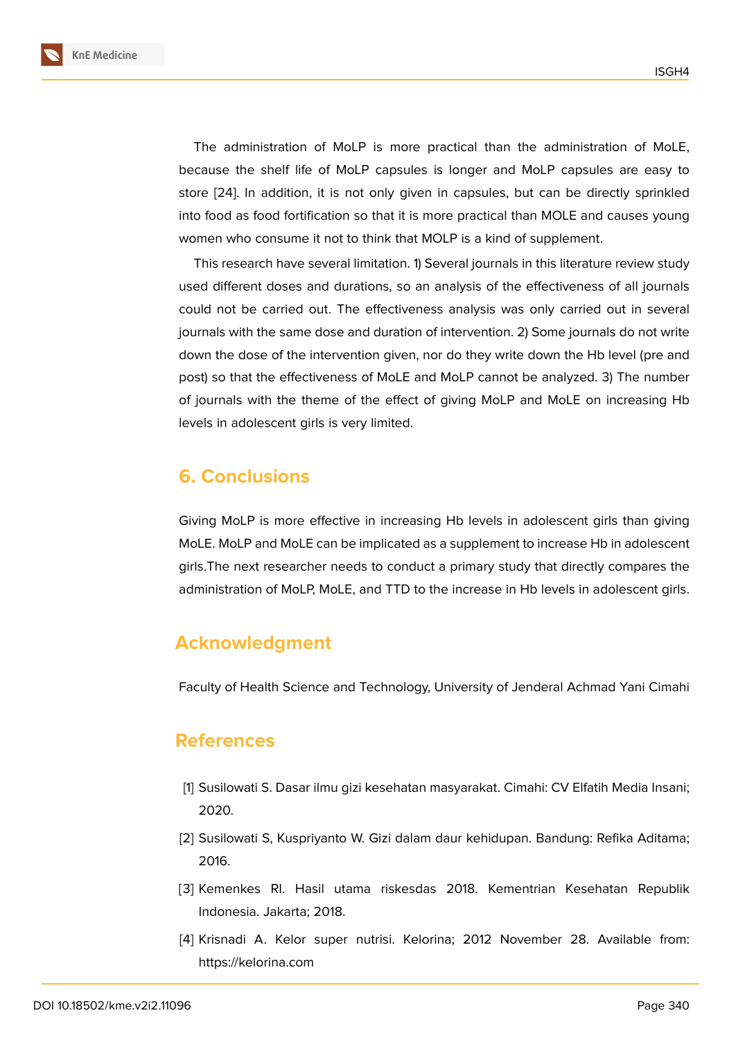The administration of MoLP is more practical than the administration of MoLE, because the shelf life of MoLP capsules is longer and MoLP capsules are easy to store [24]. In addition, it is not only given in capsules, but can be directly sprinkled into food as food fortification so that it is more practical than MOLE and causes young women who consume it not to think that MOLP is a kind of supplement.

Thi[s re](#page-15-8)search have several limitation. 1) Several journals in this literature review study used different doses and durations, so an analysis of the effectiveness of all journals could not be carried out. The effectiveness analysis was only carried out in several journals with the same dose and duration of intervention. 2) Some journals do not write down the dose of the intervention given, nor do they write down the Hb level (pre and post) so that the effectiveness of MoLE and MoLP cannot be analyzed. 3) The number of journals with the theme of the effect of giving MoLP and MoLE on increasing Hb levels in adolescent girls is very limited.

### **6. Conclusions**

Giving MoLP is more effective in increasing Hb levels in adolescent girls than giving MoLE. MoLP and MoLE can be implicated as a supplement to increase Hb in adolescent girls.The next researcher needs to conduct a primary study that directly compares the administration of MoLP, MoLE, and TTD to the increase in Hb levels in adolescent girls.

# **Acknowledgment**

Faculty of Health Science and Technology, University of Jenderal Achmad Yani Cimahi

### **References**

- [1] Susilowati S. Dasar ilmu gizi kesehatan masyarakat. Cimahi: CV Elfatih Media Insani; 2020.
- <span id="page-13-0"></span>[2] Susilowati S, Kuspriyanto W. Gizi dalam daur kehidupan. Bandung: Refika Aditama; 2016.
- <span id="page-13-1"></span>[3] Kemenkes RI. Hasil utama riskesdas 2018. Kementrian Kesehatan Republik Indonesia. Jakarta; 2018.
- <span id="page-13-3"></span><span id="page-13-2"></span>[4] Krisnadi A. Kelor super nutrisi. Kelorina; 2012 November 28. Available from: https://kelorina.com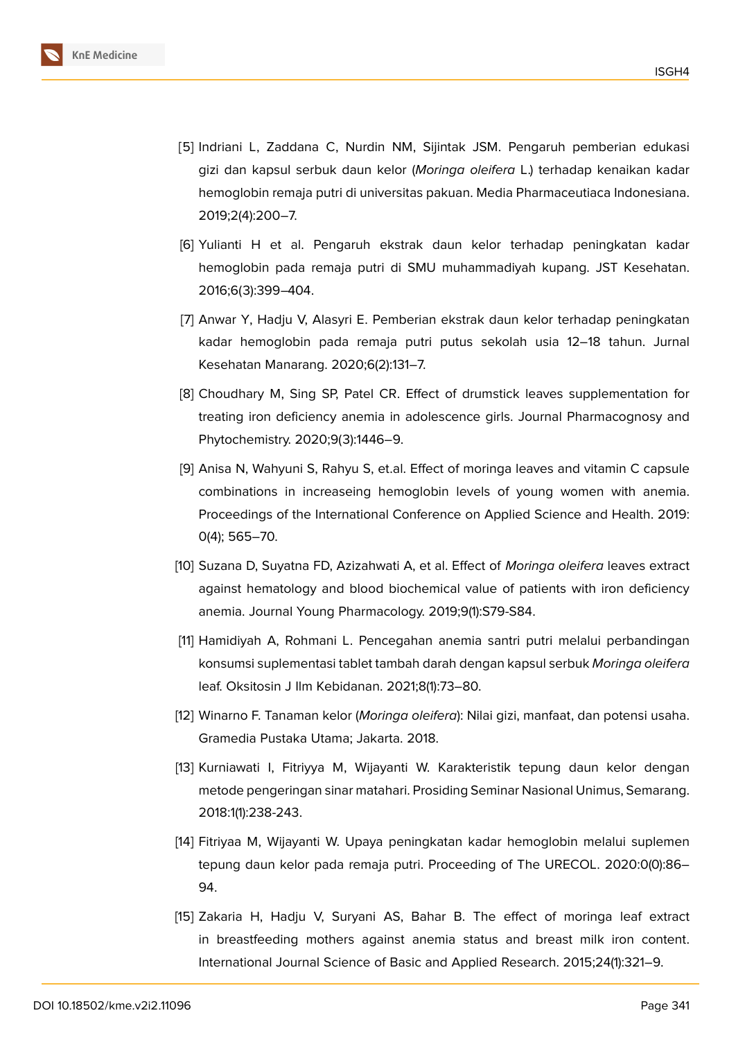

- <span id="page-14-0"></span>[5] Indriani L, Zaddana C, Nurdin NM, Sijintak JSM. Pengaruh pemberian edukasi gizi dan kapsul serbuk daun kelor (*Moringa oleifera* L.) terhadap kenaikan kadar hemoglobin remaja putri di universitas pakuan. Media Pharmaceutiaca Indonesiana. 2019;2(4):200–7.
- <span id="page-14-1"></span>[6] Yulianti H et al. Pengaruh ekstrak daun kelor terhadap peningkatan kadar hemoglobin pada remaja putri di SMU muhammadiyah kupang. JST Kesehatan. 2016;6(3):399–404.
- <span id="page-14-2"></span>[7] Anwar Y, Hadju V, Alasyri E. Pemberian ekstrak daun kelor terhadap peningkatan kadar hemoglobin pada remaja putri putus sekolah usia 12–18 tahun. Jurnal Kesehatan Manarang. 2020;6(2):131–7.
- <span id="page-14-3"></span>[8] Choudhary M, Sing SP, Patel CR. Effect of drumstick leaves supplementation for treating iron deficiency anemia in adolescence girls. Journal Pharmacognosy and Phytochemistry. 2020;9(3):1446–9.
- <span id="page-14-4"></span>[9] Anisa N, Wahyuni S, Rahyu S, et.al. Effect of moringa leaves and vitamin C capsule combinations in increaseing hemoglobin levels of young women with anemia. Proceedings of the International Conference on Applied Science and Health. 2019: 0(4); 565–70.
- <span id="page-14-5"></span>[10] Suzana D, Suyatna FD, Azizahwati A, et al. Effect of *Moringa oleifera* leaves extract against hematology and blood biochemical value of patients with iron deficiency anemia. Journal Young Pharmacology. 2019;9(1):S79-S84.
- <span id="page-14-6"></span>[11] Hamidiyah A, Rohmani L. Pencegahan anemia santri putri melalui perbandingan konsumsi suplementasi tablet tambah darah dengan kapsul serbuk *Moringa oleifera* leaf. Oksitosin J Ilm Kebidanan. 2021;8(1):73–80.
- <span id="page-14-7"></span>[12] Winarno F. Tanaman kelor (*Moringa oleifera*): Nilai gizi, manfaat, dan potensi usaha. Gramedia Pustaka Utama; Jakarta. 2018.
- <span id="page-14-8"></span>[13] Kurniawati I, Fitriyya M, Wijayanti W. Karakteristik tepung daun kelor dengan metode pengeringan sinar matahari. Prosiding Seminar Nasional Unimus, Semarang. 2018:1(1):238-243.
- <span id="page-14-9"></span>[14] Fitriyaa M, Wijayanti W. Upaya peningkatan kadar hemoglobin melalui suplemen tepung daun kelor pada remaja putri. Proceeding of The URECOL. 2020:0(0):86– 94.
- <span id="page-14-10"></span>[15] Zakaria H, Hadju V, Suryani AS, Bahar B. The effect of moringa leaf extract in breastfeeding mothers against anemia status and breast milk iron content. International Journal Science of Basic and Applied Research. 2015;24(1):321–9.